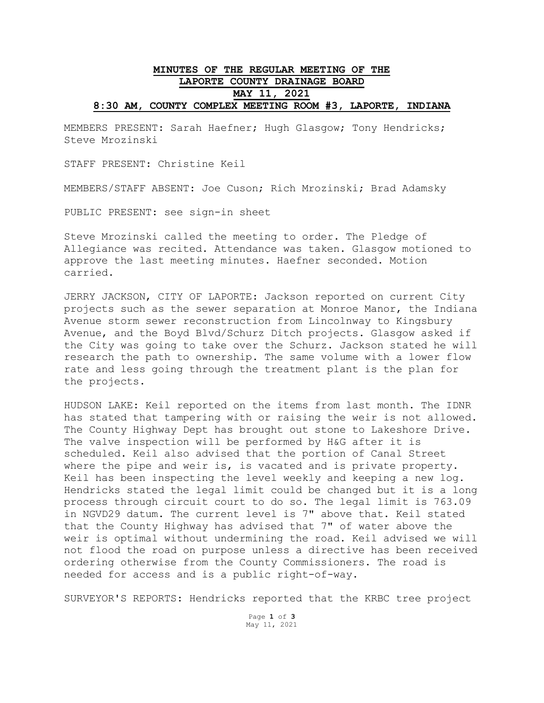## **MINUTES OF THE REGULAR MEETING OF THE LAPORTE COUNTY DRAINAGE BOARD MAY 11, 2021 8:30 AM, COUNTY COMPLEX MEETING ROOM #3, LAPORTE, INDIANA**

MEMBERS PRESENT: Sarah Haefner; Hugh Glasgow; Tony Hendricks; Steve Mrozinski

STAFF PRESENT: Christine Keil

MEMBERS/STAFF ABSENT: Joe Cuson; Rich Mrozinski; Brad Adamsky

PUBLIC PRESENT: see sign-in sheet

Steve Mrozinski called the meeting to order. The Pledge of Allegiance was recited. Attendance was taken. Glasgow motioned to approve the last meeting minutes. Haefner seconded. Motion carried.

JERRY JACKSON, CITY OF LAPORTE: Jackson reported on current City projects such as the sewer separation at Monroe Manor, the Indiana Avenue storm sewer reconstruction from Lincolnway to Kingsbury Avenue, and the Boyd Blvd/Schurz Ditch projects. Glasgow asked if the City was going to take over the Schurz. Jackson stated he will research the path to ownership. The same volume with a lower flow rate and less going through the treatment plant is the plan for the projects.

HUDSON LAKE: Keil reported on the items from last month. The IDNR has stated that tampering with or raising the weir is not allowed. The County Highway Dept has brought out stone to Lakeshore Drive. The valve inspection will be performed by H&G after it is scheduled. Keil also advised that the portion of Canal Street where the pipe and weir is, is vacated and is private property. Keil has been inspecting the level weekly and keeping a new log. Hendricks stated the legal limit could be changed but it is a long process through circuit court to do so. The legal limit is 763.09 in NGVD29 datum. The current level is 7" above that. Keil stated that the County Highway has advised that 7" of water above the weir is optimal without undermining the road. Keil advised we will not flood the road on purpose unless a directive has been received ordering otherwise from the County Commissioners. The road is needed for access and is a public right-of-way.

SURVEYOR'S REPORTS: Hendricks reported that the KRBC tree project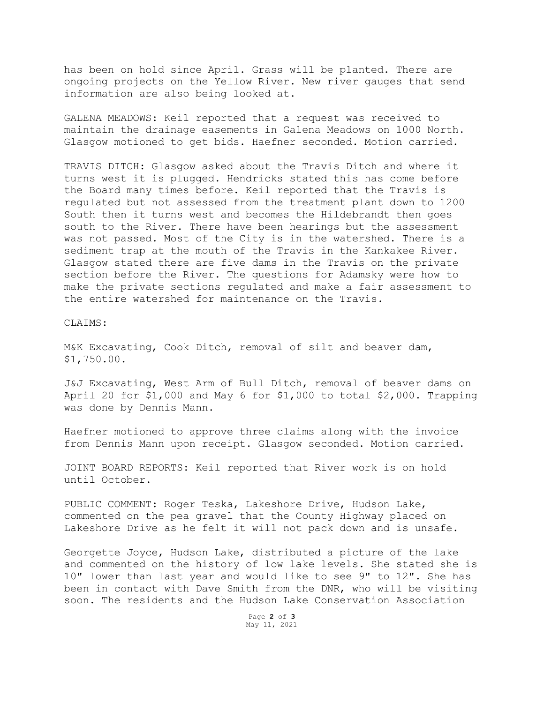has been on hold since April. Grass will be planted. There are ongoing projects on the Yellow River. New river gauges that send information are also being looked at.

GALENA MEADOWS: Keil reported that a request was received to maintain the drainage easements in Galena Meadows on 1000 North. Glasgow motioned to get bids. Haefner seconded. Motion carried.

TRAVIS DITCH: Glasgow asked about the Travis Ditch and where it turns west it is plugged. Hendricks stated this has come before the Board many times before. Keil reported that the Travis is regulated but not assessed from the treatment plant down to 1200 South then it turns west and becomes the Hildebrandt then goes south to the River. There have been hearings but the assessment was not passed. Most of the City is in the watershed. There is a sediment trap at the mouth of the Travis in the Kankakee River. Glasgow stated there are five dams in the Travis on the private section before the River. The questions for Adamsky were how to make the private sections regulated and make a fair assessment to the entire watershed for maintenance on the Travis.

## CLAIMS:

M&K Excavating, Cook Ditch, removal of silt and beaver dam, \$1,750.00.

J&J Excavating, West Arm of Bull Ditch, removal of beaver dams on April 20 for \$1,000 and May 6 for \$1,000 to total \$2,000. Trapping was done by Dennis Mann.

Haefner motioned to approve three claims along with the invoice from Dennis Mann upon receipt. Glasgow seconded. Motion carried.

JOINT BOARD REPORTS: Keil reported that River work is on hold until October.

PUBLIC COMMENT: Roger Teska, Lakeshore Drive, Hudson Lake, commented on the pea gravel that the County Highway placed on Lakeshore Drive as he felt it will not pack down and is unsafe.

Georgette Joyce, Hudson Lake, distributed a picture of the lake and commented on the history of low lake levels. She stated she is 10" lower than last year and would like to see 9" to 12". She has been in contact with Dave Smith from the DNR, who will be visiting soon. The residents and the Hudson Lake Conservation Association